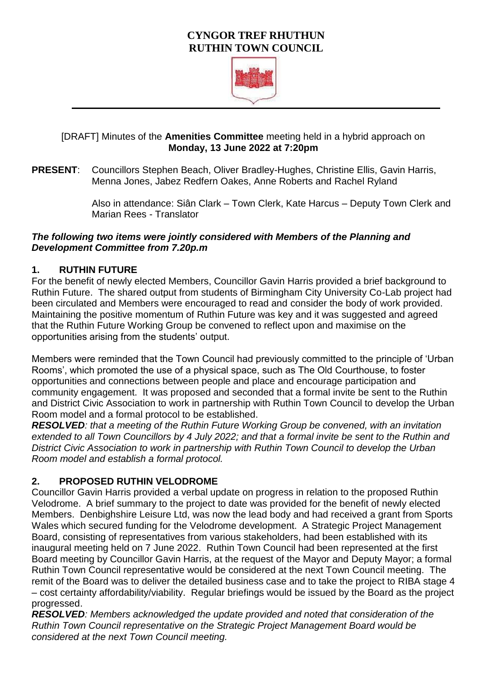# **CYNGOR TREF RHUTHUN RUTHIN TOWN COUNCIL**



#### [DRAFT] Minutes of the **Amenities Committee** meeting held in a hybrid approach on **Monday, 13 June 2022 at 7:20pm**

**PRESENT**: Councillors Stephen Beach, Oliver Bradley-Hughes, Christine Ellis, Gavin Harris, Menna Jones, Jabez Redfern Oakes, Anne Roberts and Rachel Ryland

> Also in attendance: Siân Clark – Town Clerk, Kate Harcus – Deputy Town Clerk and Marian Rees - Translator

#### *The following two items were jointly considered with Members of the Planning and Development Committee from 7.20p.m*

## **1. RUTHIN FUTURE**

For the benefit of newly elected Members, Councillor Gavin Harris provided a brief background to Ruthin Future. The shared output from students of Birmingham City University Co-Lab project had been circulated and Members were encouraged to read and consider the body of work provided. Maintaining the positive momentum of Ruthin Future was key and it was suggested and agreed that the Ruthin Future Working Group be convened to reflect upon and maximise on the opportunities arising from the students' output.

Members were reminded that the Town Council had previously committed to the principle of 'Urban Rooms', which promoted the use of a physical space, such as The Old Courthouse, to foster opportunities and connections between people and place and encourage participation and community engagement. It was proposed and seconded that a formal invite be sent to the Ruthin and District Civic Association to work in partnership with Ruthin Town Council to develop the Urban Room model and a formal protocol to be established.

*RESOLVED: that a meeting of the Ruthin Future Working Group be convened, with an invitation extended to all Town Councillors by 4 July 2022; and that a formal invite be sent to the Ruthin and District Civic Association to work in partnership with Ruthin Town Council to develop the Urban Room model and establish a formal protocol.*

# **2. PROPOSED RUTHIN VELODROME**

Councillor Gavin Harris provided a verbal update on progress in relation to the proposed Ruthin Velodrome. A brief summary to the project to date was provided for the benefit of newly elected Members. Denbighshire Leisure Ltd, was now the lead body and had received a grant from Sports Wales which secured funding for the Velodrome development. A Strategic Project Management Board, consisting of representatives from various stakeholders, had been established with its inaugural meeting held on 7 June 2022. Ruthin Town Council had been represented at the first Board meeting by Councillor Gavin Harris, at the request of the Mayor and Deputy Mayor; a formal Ruthin Town Council representative would be considered at the next Town Council meeting. The remit of the Board was to deliver the detailed business case and to take the project to RIBA stage 4 – cost certainty affordability/viability. Regular briefings would be issued by the Board as the project progressed.

*RESOLVED: Members acknowledged the update provided and noted that consideration of the Ruthin Town Council representative on the Strategic Project Management Board would be considered at the next Town Council meeting.*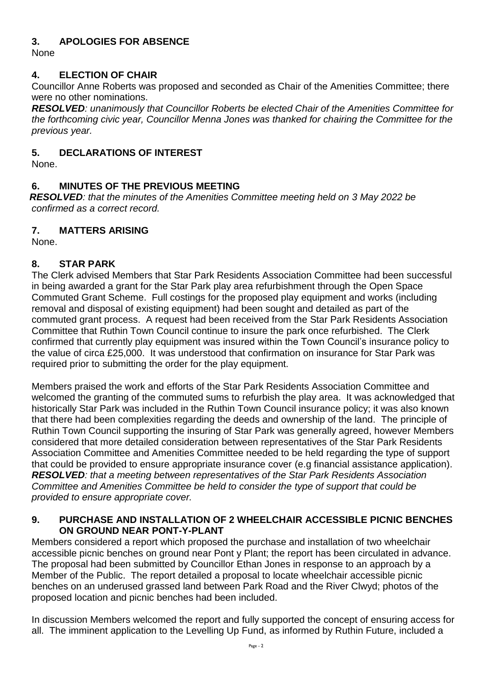## **3. APOLOGIES FOR ABSENCE**

**None** 

## **4. ELECTION OF CHAIR**

Councillor Anne Roberts was proposed and seconded as Chair of the Amenities Committee; there were no other nominations.

*RESOLVED: unanimously that Councillor Roberts be elected Chair of the Amenities Committee for the forthcoming civic year, Councillor Menna Jones was thanked for chairing the Committee for the previous year.* 

## **5. DECLARATIONS OF INTEREST**

None.

## **6. MINUTES OF THE PREVIOUS MEETING**

*RESOLVED: that the minutes of the Amenities Committee meeting held on 3 May 2022 be confirmed as a correct record.* 

## **7. MATTERS ARISING**

None.

## **8. STAR PARK**

The Clerk advised Members that Star Park Residents Association Committee had been successful in being awarded a grant for the Star Park play area refurbishment through the Open Space Commuted Grant Scheme. Full costings for the proposed play equipment and works (including removal and disposal of existing equipment) had been sought and detailed as part of the commuted grant process. A request had been received from the Star Park Residents Association Committee that Ruthin Town Council continue to insure the park once refurbished. The Clerk confirmed that currently play equipment was insured within the Town Council's insurance policy to the value of circa £25,000. It was understood that confirmation on insurance for Star Park was required prior to submitting the order for the play equipment.

Members praised the work and efforts of the Star Park Residents Association Committee and welcomed the granting of the commuted sums to refurbish the play area. It was acknowledged that historically Star Park was included in the Ruthin Town Council insurance policy; it was also known that there had been complexities regarding the deeds and ownership of the land. The principle of Ruthin Town Council supporting the insuring of Star Park was generally agreed, however Members considered that more detailed consideration between representatives of the Star Park Residents Association Committee and Amenities Committee needed to be held regarding the type of support that could be provided to ensure appropriate insurance cover (e.g financial assistance application). *RESOLVED: that a meeting between representatives of the Star Park Residents Association Committee and Amenities Committee be held to consider the type of support that could be provided to ensure appropriate cover.*

#### **9. PURCHASE AND INSTALLATION OF 2 WHEELCHAIR ACCESSIBLE PICNIC BENCHES ON GROUND NEAR PONT-Y-PLANT**

Members considered a report which proposed the purchase and installation of two wheelchair accessible picnic benches on ground near Pont y Plant; the report has been circulated in advance. The proposal had been submitted by Councillor Ethan Jones in response to an approach by a Member of the Public. The report detailed a proposal to locate wheelchair accessible picnic benches on an underused grassed land between Park Road and the River Clwyd; photos of the proposed location and picnic benches had been included.

In discussion Members welcomed the report and fully supported the concept of ensuring access for all. The imminent application to the Levelling Up Fund, as informed by Ruthin Future, included a